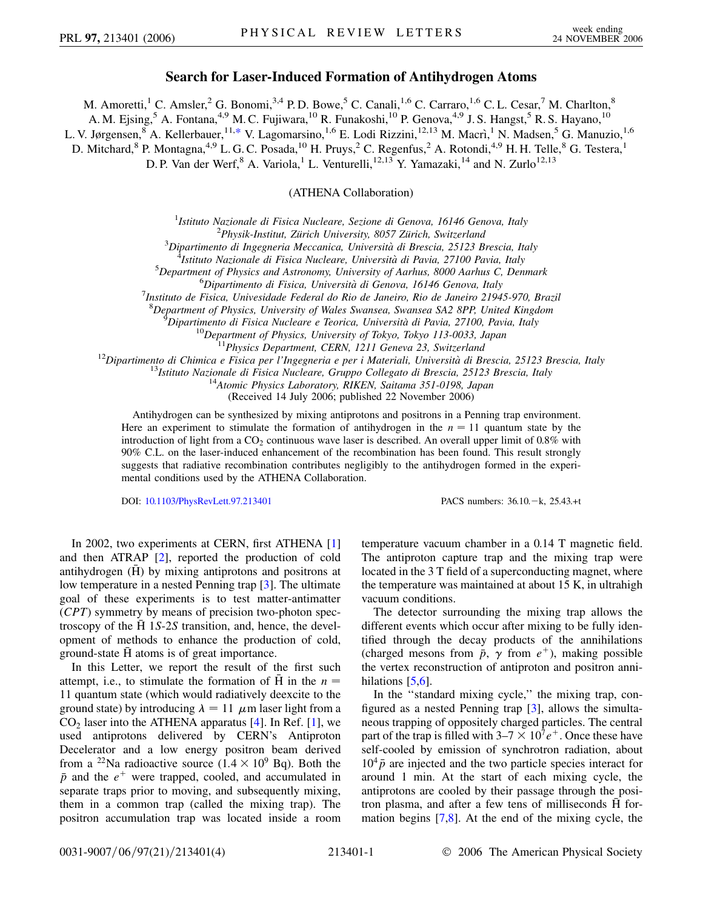## **Search for Laser-Induced Formation of Antihydrogen Atoms**

M. Amoretti,<sup>1</sup> C. Amsler,<sup>2</sup> G. Bonomi,<sup>3,4</sup> P.D. Bowe,<sup>5</sup> C. Canali,<sup>1,6</sup> C. Carraro,<sup>1,6</sup> C. L. Cesar,<sup>7</sup> M. Charlton,<sup>8</sup>

A. M. Ejsing,<sup>5</sup> A. Fontana,<sup>4,9</sup> M. C. Fujiwara,<sup>10</sup> R. Funakoshi,<sup>10</sup> P. Genova,<sup>4,9</sup> J. S. Hangst,<sup>5</sup> R. S. Hayano,<sup>10</sup>

<span id="page-0-0"></span>L. V. Jørgensen, <sup>8</sup> A. Kellerbauer, <sup>11,[\\*](#page-3-0)</sup> V. Lagomarsino, <sup>1,6</sup> E. Lodi Rizzini, <sup>12,13</sup> M. Macrì, <sup>1</sup> N. Madsen, <sup>5</sup> G. Manuzio, <sup>1,6</sup>

D. Mitchard,<sup>8</sup> P. Montagna,<sup>4,9</sup> L. G. C. Posada,<sup>10</sup> H. Pruys,<sup>2</sup> C. Regenfus,<sup>2</sup> A. Rotondi,<sup>4,9</sup> H. H. Telle,<sup>8</sup> G. Testera,<sup>1</sup>

D. P. Van der Werf,  $8$  A. Variola,  $1$  L. Venturelli,  $12,13$  Y. Yamazaki,  $14$  and N. Zurlo $12,13$ 

(ATHENA Collaboration)

<sup>1</sup> Istituto Nazionale di Fisica Nucleare, Sezione di Genova, 16146 Genova, Italy<br><sup>2</sup> Physik Institut, Zürich University, 8057 Zürich, Switzerland

<sup>2</sup>Physik-Institut, Zürich University, 8057 Zürich, Switzerland

*Dipartimento di Ingegneria Meccanica, Universita` di Brescia, 25123 Brescia, Italy* <sup>4</sup> *Istituto Nazionale di Fisica Nucleare, Universita` di Pavia, 27100 Pavia, Italy* <sup>5</sup>

*Department of Physics and Astronomy, University of Aarhus, 8000 Aarhus C, Denmark* <sup>6</sup>

*Dipartimento di Fisica, Universita` di Genova, 16146 Genova, Italy* <sup>7</sup>

*Instituto de Fisica, Univesidade Federal do Rio de Janeiro, Rio de Janeiro 21945-970, Brazil*

<sup>8</sup> Department of Physics, University of Wales Swansea, Swansea SA2 8PP, United Kingdom<br><sup>9</sup> Dipartimento di Eisica Nucleare e Teorica, Università di Pavia, 27100, Pavia, Italy

<sup>9</sup>Dipartimento di Fisica Nucleare e Teorica, Università di Pavia, 27100, Pavia, Italy<br><sup>10</sup>Department of Physics, University of Tokyo, Tokyo 113-0033, Japan<br><sup>11</sup>Physics Department, CERN, 1211 Geneva 23, Switzerland<br><sup>12</sup>Di

(Received 14 July 2006; published 22 November 2006)

Antihydrogen can be synthesized by mixing antiprotons and positrons in a Penning trap environment. Here an experiment to stimulate the formation of antihydrogen in the  $n = 11$  quantum state by the introduction of light from a  $CO<sub>2</sub>$  continuous wave laser is described. An overall upper limit of 0.8% with 90% C.L. on the laser-induced enhancement of the recombination has been found. This result strongly suggests that radiative recombination contributes negligibly to the antihydrogen formed in the experimental conditions used by the ATHENA Collaboration.

DOI: [10.1103/PhysRevLett.97.213401](http://dx.doi.org/10.1103/PhysRevLett.97.213401)

PACS numbers:  $36.10 - k$ ,  $25.43 + t$ 

In 2002, two experiments at CERN, first ATHENA [\[1\]](#page-3-1) and then ATRAP [\[2](#page-3-2)], reported the production of cold antihydrogen  $(\bar{H})$  by mixing antiprotons and positrons at low temperature in a nested Penning trap [[3\]](#page-3-3). The ultimate goal of these experiments is to test matter-antimatter (*CPT*) symmetry by means of precision two-photon spectroscopy of the  $\overline{H}$  1*S*-2*S* transition, and, hence, the development of methods to enhance the production of cold, ground-state H atoms is of great importance.

In this Letter, we report the result of the first such attempt, i.e., to stimulate the formation of H in the  $n =$ 11 quantum state (which would radiatively deexcite to the ground state) by introducing  $\lambda = 11 \mu m$  laser light from a  $CO<sub>2</sub>$  laser into the ATHENA apparatus [\[4](#page-3-4)]. In Ref. [[1\]](#page-3-1), we used antiprotons delivered by CERN's Antiproton Decelerator and a low energy positron beam derived from a <sup>22</sup>Na radioactive source  $(1.4 \times 10^9$  Bq). Both the  $\bar{p}$  and the  $e^+$  were trapped, cooled, and accumulated in separate traps prior to moving, and subsequently mixing, them in a common trap (called the mixing trap). The positron accumulation trap was located inside a room temperature vacuum chamber in a 0.14 T magnetic field. The antiproton capture trap and the mixing trap were located in the 3 T field of a superconducting magnet, where the temperature was maintained at about 15 K, in ultrahigh vacuum conditions.

The detector surrounding the mixing trap allows the different events which occur after mixing to be fully identified through the decay products of the annihilations (charged mesons from  $\bar{p}$ ,  $\gamma$  from  $e^+$ ), making possible the vertex reconstruction of antiproton and positron annihilations  $[5,6]$  $[5,6]$  $[5,6]$ .

In the ''standard mixing cycle,'' the mixing trap, configured as a nested Penning trap [[3\]](#page-3-3), allows the simultaneous trapping of oppositely charged particles. The central part of the trap is filled with  $3-7 \times 10^{7} e^{+}$ . Once these have self-cooled by emission of synchrotron radiation, about  $10<sup>4</sup>$   $\bar{p}$  are injected and the two particle species interact for around 1 min. At the start of each mixing cycle, the antiprotons are cooled by their passage through the positron plasma, and after a few tens of milliseconds  $\tilde{H}$  formation begins [[7](#page-3-7)[,8\]](#page-3-8). At the end of the mixing cycle, the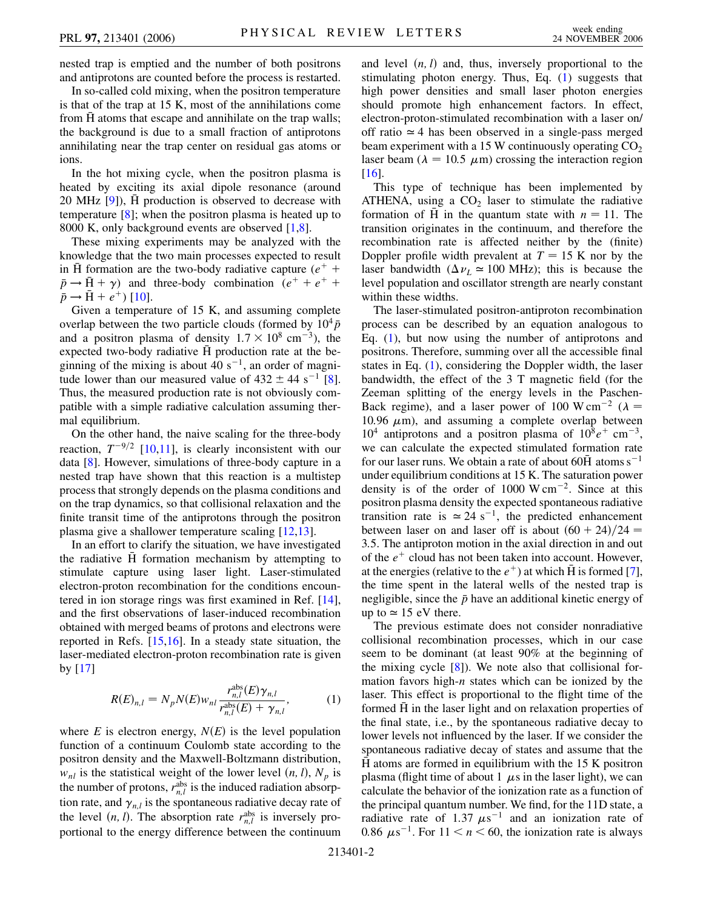nested trap is emptied and the number of both positrons and antiprotons are counted before the process is restarted.

In so-called cold mixing, when the positron temperature is that of the trap at 15 K, most of the annihilations come from  $\overline{H}$  atoms that escape and annihilate on the trap walls; the background is due to a small fraction of antiprotons annihilating near the trap center on residual gas atoms or ions.

In the hot mixing cycle, when the positron plasma is heated by exciting its axial dipole resonance (around 20 MHz  $[9]$  $[9]$ ),  $\overline{H}$  production is observed to decrease with temperature [[8\]](#page-3-8); when the positron plasma is heated up to 8000 K, only background events are observed [[1,](#page-3-1)[8\]](#page-3-8).

These mixing experiments may be analyzed with the knowledge that the two main processes expected to result in H formation are the two-body radiative capture  $(e^+ +$  $\bar{p} \rightarrow \bar{H} + \gamma$ ) and three-body combination ( $e^+ + e^+ + \gamma$  $\bar{p} \rightarrow \bar{H} + e^{+}$ ) [[10](#page-3-10)].

Given a temperature of 15 K, and assuming complete overlap between the two particle clouds (formed by  $10^4 \bar{p}$ ) and a positron plasma of density  $1.7 \times 10^8$  cm<sup>-3</sup>), the expected two-body radiative H production rate at the beginning of the mixing is about 40  $s^{-1}$ , an order of magnitude lower than our measured value of  $432 \pm 44$  s<sup>-1</sup> [[8\]](#page-3-8). Thus, the measured production rate is not obviously compatible with a simple radiative calculation assuming thermal equilibrium.

On the other hand, the naive scaling for the three-body reaction,  $T^{-9/2}$  [[10](#page-3-10),[11](#page-3-11)], is clearly inconsistent with our data [\[8\]](#page-3-8). However, simulations of three-body capture in a nested trap have shown that this reaction is a multistep process that strongly depends on the plasma conditions and on the trap dynamics, so that collisional relaxation and the finite transit time of the antiprotons through the positron plasma give a shallower temperature scaling [\[12,](#page-3-12)[13\]](#page-3-13).

In an effort to clarify the situation, we have investigated the radiative H formation mechanism by attempting to stimulate capture using laser light. Laser-stimulated electron-proton recombination for the conditions encountered in ion storage rings was first examined in Ref. [\[14\]](#page-3-14), and the first observations of laser-induced recombination obtained with merged beams of protons and electrons were reported in Refs. [\[15](#page-3-15)[,16\]](#page-3-16). In a steady state situation, the laser-mediated electron-proton recombination rate is given by [[17](#page-3-17)]

<span id="page-1-0"></span>
$$
R(E)_{n,l} = N_p N(E) w_{nl} \frac{r_{n,l}^{\text{abs}}(E) \gamma_{n,l}}{r_{n,l}^{\text{abs}}(E) + \gamma_{n,l}},
$$
 (1)

where  $E$  is electron energy,  $N(E)$  is the level population function of a continuum Coulomb state according to the positron density and the Maxwell-Boltzmann distribution,  $w_{nl}$  is the statistical weight of the lower level  $(n, l)$ ,  $N_p$  is the number of protons,  $r_{n,l}^{\text{abs}}$  is the induced radiation absorption rate, and  $\gamma_{n,l}$  is the spontaneous radiative decay rate of the level  $(n, l)$ . The absorption rate  $r_{n,l}^{abs}$  is inversely proportional to the energy difference between the continuum and level  $(n, l)$  and, thus, inversely proportional to the stimulating photon energy. Thus, Eq. ([1\)](#page-1-0) suggests that high power densities and small laser photon energies should promote high enhancement factors. In effect, electron-proton-stimulated recombination with a laser on/ off ratio  $\simeq$  4 has been observed in a single-pass merged beam experiment with a 15 W continuously operating  $CO<sub>2</sub>$ laser beam ( $\lambda = 10.5 \mu$ m) crossing the interaction region [\[16\]](#page-3-16).

This type of technique has been implemented by ATHENA, using a  $CO<sub>2</sub>$  laser to stimulate the radiative formation of H in the quantum state with  $n = 11$ . The transition originates in the continuum, and therefore the recombination rate is affected neither by the (finite) Doppler profile width prevalent at  $T = 15$  K nor by the laser bandwidth ( $\Delta \nu_L \approx 100 \text{ MHz}$ ); this is because the level population and oscillator strength are nearly constant within these widths.

The laser-stimulated positron-antiproton recombination process can be described by an equation analogous to Eq. ([1](#page-1-0)), but now using the number of antiprotons and positrons. Therefore, summing over all the accessible final states in Eq. ([1](#page-1-0)), considering the Doppler width, the laser bandwidth, the effect of the 3 T magnetic field (for the Zeeman splitting of the energy levels in the Paschen-Back regime), and a laser power of 100 W cm<sup>-2</sup> ( $\lambda$  = 10.96  $\mu$ m), and assuming a complete overlap between  $10^4$  antiprotons and a positron plasma of  $10^8 e^+$  cm<sup>-3</sup>, we can calculate the expected stimulated formation rate for our laser runs. We obtain a rate of about 60 $\overline{H}$  atoms s<sup>-1</sup> under equilibrium conditions at 15 K. The saturation power density is of the order of  $1000 \text{ W cm}^{-2}$ . Since at this positron plasma density the expected spontaneous radiative transition rate is  $\simeq 24$  s<sup>-1</sup>, the predicted enhancement between laser on and laser off is about  $(60 + 24)/24 =$ 3*:*5. The antiproton motion in the axial direction in and out of the  $e^+$  cloud has not been taken into account. However, at the energies (relative to the  $e^+$ ) at which  $\overline{H}$  is formed [[7\]](#page-3-7), the time spent in the lateral wells of the nested trap is negligible, since the  $\bar{p}$  have an additional kinetic energy of up to  $\simeq$  15 eV there.

The previous estimate does not consider nonradiative collisional recombination processes, which in our case seem to be dominant (at least 90% at the beginning of the mixing cycle  $[8]$  $[8]$  $[8]$ ). We note also that collisional formation favors high-*n* states which can be ionized by the laser. This effect is proportional to the flight time of the formed H in the laser light and on relaxation properties of the final state, i.e., by the spontaneous radiative decay to lower levels not influenced by the laser. If we consider the spontaneous radiative decay of states and assume that the  $\overline{H}$  atoms are formed in equilibrium with the 15 K positron plasma (flight time of about  $1 \mu s$  in the laser light), we can calculate the behavior of the ionization rate as a function of the principal quantum number. We find, for the 11D state, a radiative rate of 1.37  $\mu$ s<sup>-1</sup> and an ionization rate of 0.86  $\mu$ s<sup>-1</sup>. For 11 < *n* < 60, the ionization rate is always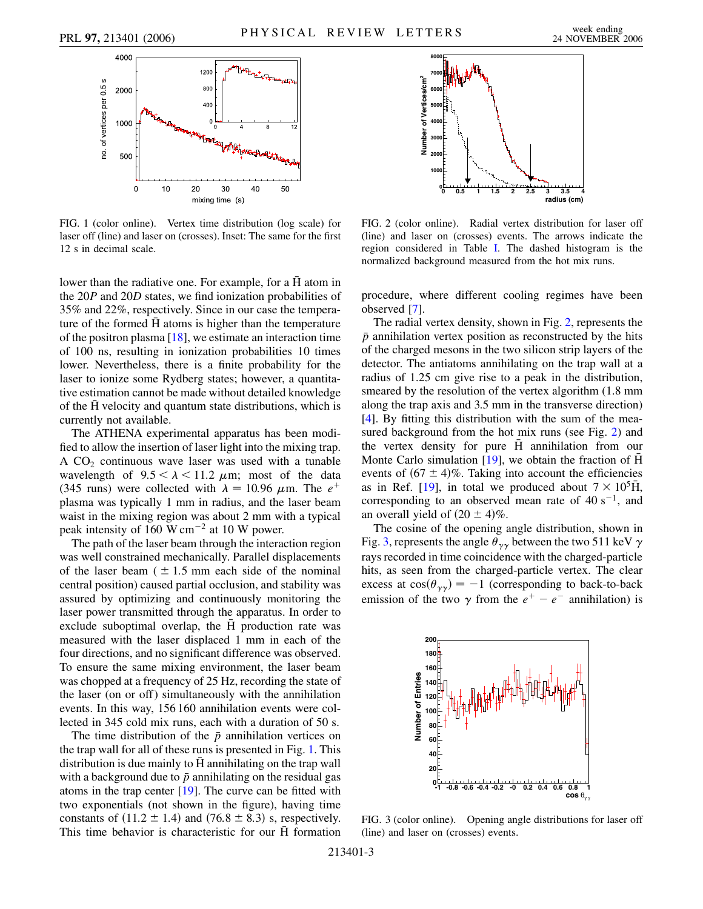<span id="page-2-0"></span>

FIG. 1 (color online). Vertex time distribution (log scale) for laser off (line) and laser on (crosses). Inset: The same for the first 12 s in decimal scale.

lower than the radiative one. For example, for a H atom in the 20*P* and 20*D* states, we find ionization probabilities of 35% and 22%, respectively. Since in our case the temperature of the formed H atoms is higher than the temperature of the positron plasma  $[18]$ , we estimate an interaction time of 100 ns, resulting in ionization probabilities 10 times lower. Nevertheless, there is a finite probability for the laser to ionize some Rydberg states; however, a quantitative estimation cannot be made without detailed knowledge of the  $\bar{H}$  velocity and quantum state distributions, which is currently not available.

The ATHENA experimental apparatus has been modified to allow the insertion of laser light into the mixing trap. A  $CO<sub>2</sub>$  continuous wave laser was used with a tunable wavelength of  $9.5 < \lambda < 11.2 \mu m$ ; most of the data (345 runs) were collected with  $\lambda = 10.96 \mu$ m. The  $e^+$ plasma was typically 1 mm in radius, and the laser beam waist in the mixing region was about 2 mm with a typical peak intensity of 160 W cm<sup> $-2$ </sup> at 10 W power.

The path of the laser beam through the interaction region was well constrained mechanically. Parallel displacements of the laser beam  $( \pm 1.5 \text{ mm}$  each side of the nominal central position) caused partial occlusion, and stability was assured by optimizing and continuously monitoring the laser power transmitted through the apparatus. In order to exclude suboptimal overlap, the H production rate was measured with the laser displaced 1 mm in each of the four directions, and no significant difference was observed. To ensure the same mixing environment, the laser beam was chopped at a frequency of 25 Hz, recording the state of the laser (on or off) simultaneously with the annihilation events. In this way, 156 160 annihilation events were collected in 345 cold mix runs, each with a duration of 50 s.

The time distribution of the *p* annihilation vertices on the trap wall for all of these runs is presented in Fig. [1.](#page-2-0) This distribution is due mainly to  $\overline{H}$  annihilating on the trap wall with a background due to  $\bar{p}$  annihilating on the residual gas atoms in the trap center [\[19\]](#page-3-19). The curve can be fitted with two exponentials (not shown in the figure), having time constants of  $(11.2 \pm 1.4)$  and  $(76.8 \pm 8.3)$  s, respectively. This time behavior is characteristic for our  $\bar{H}$  formation

<span id="page-2-1"></span>

FIG. 2 (color online). Radial vertex distribution for laser off (line) and laser on (crosses) events. The arrows indicate the region considered in Table I. The dashed histogram is the normalized background measured from the hot mix runs.

procedure, where different cooling regimes have been observed [\[7](#page-3-7)].

The radial vertex density, shown in Fig. [2](#page-2-1), represents the  $\bar{p}$  annihilation vertex position as reconstructed by the hits of the charged mesons in the two silicon strip layers of the detector. The antiatoms annihilating on the trap wall at a radius of 1.25 cm give rise to a peak in the distribution, smeared by the resolution of the vertex algorithm (1.8 mm along the trap axis and 3.5 mm in the transverse direction) [\[4\]](#page-3-4). By fitting this distribution with the sum of the measured background from the hot mix runs (see Fig. [2\)](#page-2-1) and the vertex density for pure  $\overline{H}$  annihilation from our Monte Carlo simulation [\[19\]](#page-3-19), we obtain the fraction of  $\overline{H}$ events of  $(67 \pm 4)\%$ . Taking into account the efficiencies as in Ref. [\[19\]](#page-3-19), in total we produced about  $7 \times 10^5$ H, corresponding to an observed mean rate of  $40 \text{ s}^{-1}$ , and an overall yield of  $(20 \pm 4)\%$ .

The cosine of the opening angle distribution, shown in Fig. [3,](#page-2-2) represents the angle  $\theta_{\gamma\gamma}$  between the two 511 keV  $\gamma$ rays recorded in time coincidence with the charged-particle hits, as seen from the charged-particle vertex. The clear excess at  $cos(\theta_{\gamma\gamma}) = -1$  (corresponding to back-to-back emission of the two  $\gamma$  from the  $e^+ - e^-$  annihilation) is

<span id="page-2-2"></span>

FIG. 3 (color online). Opening angle distributions for laser off (line) and laser on (crosses) events.